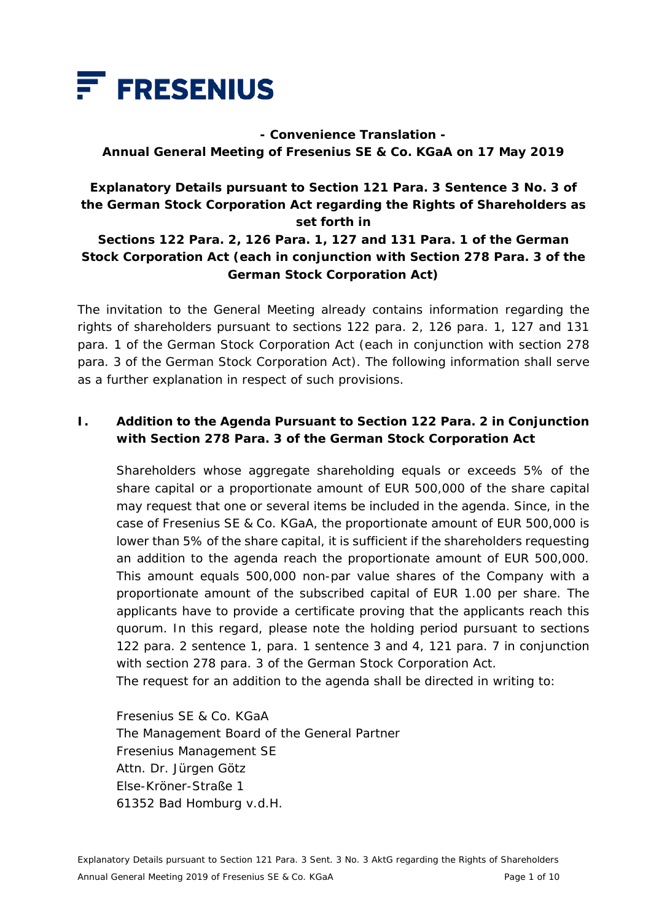

**- Convenience Translation - Annual General Meeting of Fresenius SE & Co. KGaA on 17 May 2019** 

## **Explanatory Details pursuant to Section 121 Para. 3 Sentence 3 No. 3 of the German Stock Corporation Act regarding the Rights of Shareholders as set forth in**

### **Sections 122 Para. 2, 126 Para. 1, 127 and 131 Para. 1 of the German Stock Corporation Act (each in conjunction with Section 278 Para. 3 of the German Stock Corporation Act)**

The invitation to the General Meeting already contains information regarding the rights of shareholders pursuant to sections 122 para. 2, 126 para. 1, 127 and 131 para. 1 of the German Stock Corporation Act (each in conjunction with section 278 para. 3 of the German Stock Corporation Act). The following information shall serve as a further explanation in respect of such provisions.

### **I. Addition to the Agenda Pursuant to Section 122 Para. 2 in Conjunction with Section 278 Para. 3 of the German Stock Corporation Act**

 Shareholders whose aggregate shareholding equals or exceeds 5% of the share capital or a proportionate amount of EUR 500,000 of the share capital may request that one or several items be included in the agenda. Since, in the case of Fresenius SE & Co. KGaA, the proportionate amount of EUR 500,000 is lower than 5% of the share capital, it is sufficient if the shareholders requesting an addition to the agenda reach the proportionate amount of EUR 500,000. This amount equals 500,000 non-par value shares of the Company with a proportionate amount of the subscribed capital of EUR 1.00 per share. The applicants have to provide a certificate proving that the applicants reach this quorum. In this regard, please note the holding period pursuant to sections 122 para. 2 sentence 1, para. 1 sentence 3 and 4, 121 para. 7 in conjunction with section 278 para. 3 of the German Stock Corporation Act.

The request for an addition to the agenda shall be directed in writing to:

 Fresenius SE & Co. KGaA The Management Board of the General Partner Fresenius Management SE Attn. Dr. Jürgen Götz Else-Kröner-Straße 1 61352 Bad Homburg v.d.H.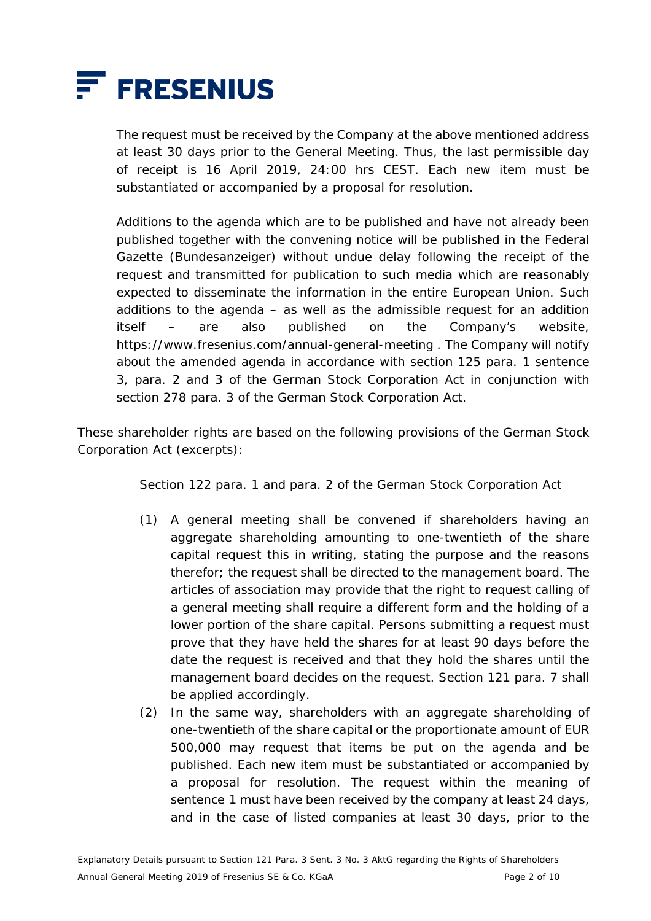

 The request must be received by the Company at the above mentioned address at least 30 days prior to the General Meeting. Thus, the last permissible day of receipt is 16 April 2019, 24:00 hrs CEST. Each new item must be substantiated or accompanied by a proposal for resolution.

 Additions to the agenda which are to be published and have not already been published together with the convening notice will be published in the Federal Gazette (*Bundesanzeiger*) without undue delay following the receipt of the request and transmitted for publication to such media which are reasonably expected to disseminate the information in the entire European Union. Such additions to the agenda  $-$  as well as the admissible request for an addition itself – are also published on the Company's website, https://www.fresenius.com/annual-general-meeting . The Company will notify about the amended agenda in accordance with section 125 para. 1 sentence 3, para. 2 and 3 of the German Stock Corporation Act in conjunction with section 278 para. 3 of the German Stock Corporation Act.

These shareholder rights are based on the following provisions of the German Stock Corporation Act (excerpts):

Section 122 para. 1 and para. 2 of the German Stock Corporation Act

- (1) A general meeting shall be convened if shareholders having an aggregate shareholding amounting to one-twentieth of the share capital request this in writing, stating the purpose and the reasons therefor; the request shall be directed to the management board. The articles of association may provide that the right to request calling of a general meeting shall require a different form and the holding of a lower portion of the share capital. Persons submitting a request must prove that they have held the shares for at least 90 days before the date the request is received and that they hold the shares until the management board decides on the request. Section 121 para. 7 shall be applied accordingly.
- (2) In the same way, shareholders with an aggregate shareholding of one-twentieth of the share capital or the proportionate amount of EUR 500,000 may request that items be put on the agenda and be published. Each new item must be substantiated or accompanied by a proposal for resolution. The request within the meaning of sentence 1 must have been received by the company at least 24 days, and in the case of listed companies at least 30 days, prior to the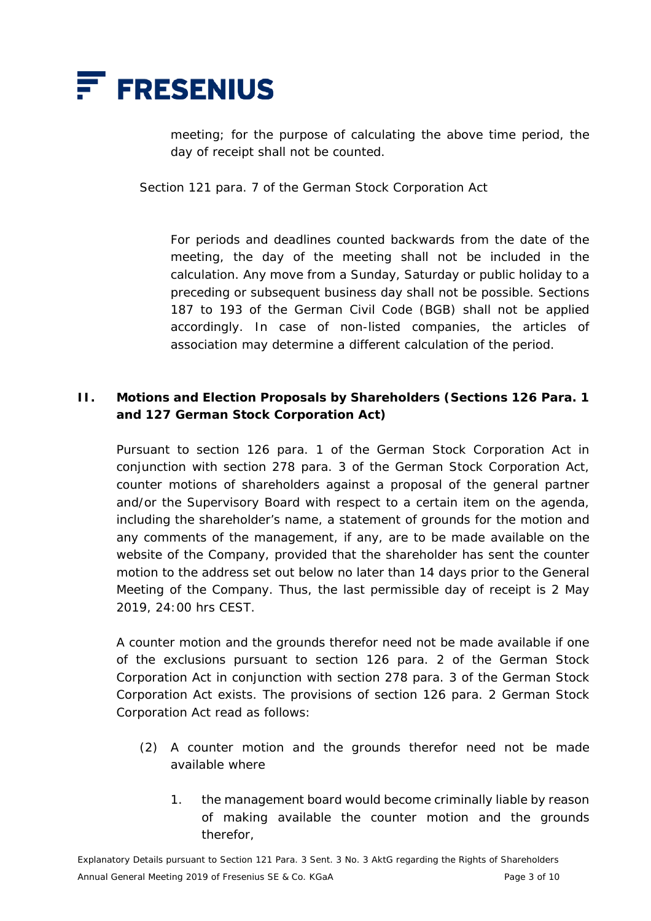

meeting; for the purpose of calculating the above time period, the day of receipt shall not be counted.

Section 121 para. 7 of the German Stock Corporation Act

For periods and deadlines counted backwards from the date of the meeting, the day of the meeting shall not be included in the calculation. Any move from a Sunday, Saturday or public holiday to a preceding or subsequent business day shall not be possible. Sections 187 to 193 of the German Civil Code (BGB) shall not be applied accordingly. In case of non-listed companies, the articles of association may determine a different calculation of the period.

### **II. Motions and Election Proposals by Shareholders (Sections 126 Para. 1 and 127 German Stock Corporation Act)**

 Pursuant to section 126 para. 1 of the German Stock Corporation Act in conjunction with section 278 para. 3 of the German Stock Corporation Act, counter motions of shareholders against a proposal of the general partner and/or the Supervisory Board with respect to a certain item on the agenda, including the shareholder's name, a statement of grounds for the motion and any comments of the management, if any, are to be made available on the website of the Company, provided that the shareholder has sent the counter motion to the address set out below no later than 14 days prior to the General Meeting of the Company. Thus, the last permissible day of receipt is 2 May 2019, 24:00 hrs CEST.

 A counter motion and the grounds therefor need not be made available if one of the exclusions pursuant to section 126 para. 2 of the German Stock Corporation Act in conjunction with section 278 para. 3 of the German Stock Corporation Act exists. The provisions of section 126 para. 2 German Stock Corporation Act read as follows:

- (2) A counter motion and the grounds therefor need not be made available where
	- 1. the management board would become criminally liable by reason of making available the counter motion and the grounds therefor,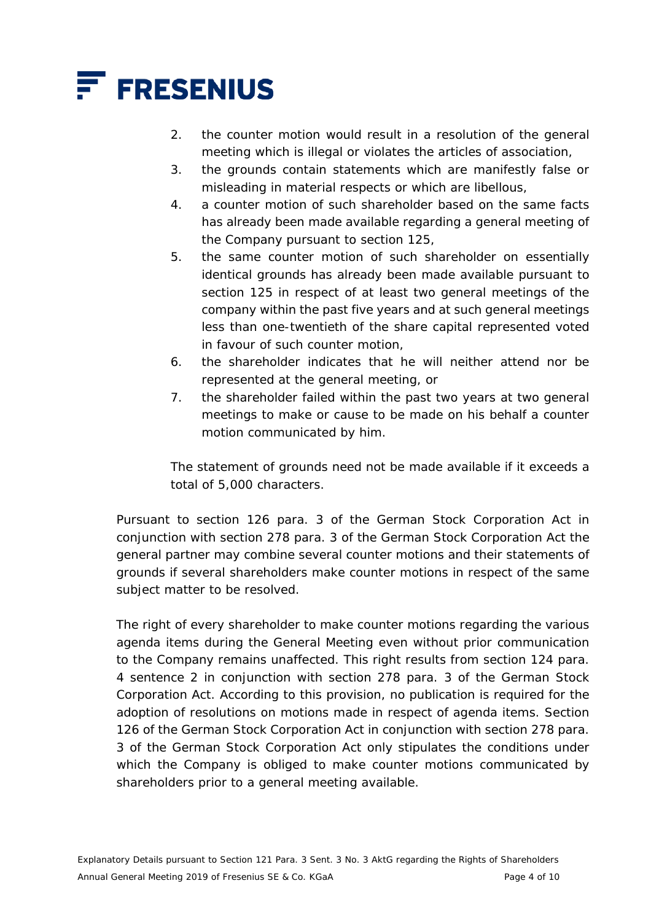

- 2. the counter motion would result in a resolution of the general meeting which is illegal or violates the articles of association,
- 3. the grounds contain statements which are manifestly false or misleading in material respects or which are libellous,
- 4. a counter motion of such shareholder based on the same facts has already been made available regarding a general meeting of the Company pursuant to section 125,
- 5. the same counter motion of such shareholder on essentially identical grounds has already been made available pursuant to section 125 in respect of at least two general meetings of the company within the past five years and at such general meetings less than one-twentieth of the share capital represented voted in favour of such counter motion,
- 6. the shareholder indicates that he will neither attend nor be represented at the general meeting, or
- 7. the shareholder failed within the past two years at two general meetings to make or cause to be made on his behalf a counter motion communicated by him.

 The statement of grounds need not be made available if it exceeds a total of 5,000 characters.

 Pursuant to section 126 para. 3 of the German Stock Corporation Act in conjunction with section 278 para. 3 of the German Stock Corporation Act the general partner may combine several counter motions and their statements of grounds if several shareholders make counter motions in respect of the same subject matter to be resolved.

The right of every shareholder to make counter motions regarding the various agenda items during the General Meeting even without prior communication to the Company remains unaffected. This right results from section 124 para. 4 sentence 2 in conjunction with section 278 para. 3 of the German Stock Corporation Act. According to this provision, no publication is required for the adoption of resolutions on motions made in respect of agenda items. Section 126 of the German Stock Corporation Act in conjunction with section 278 para. 3 of the German Stock Corporation Act only stipulates the conditions under which the Company is obliged to make counter motions communicated by shareholders prior to a general meeting available.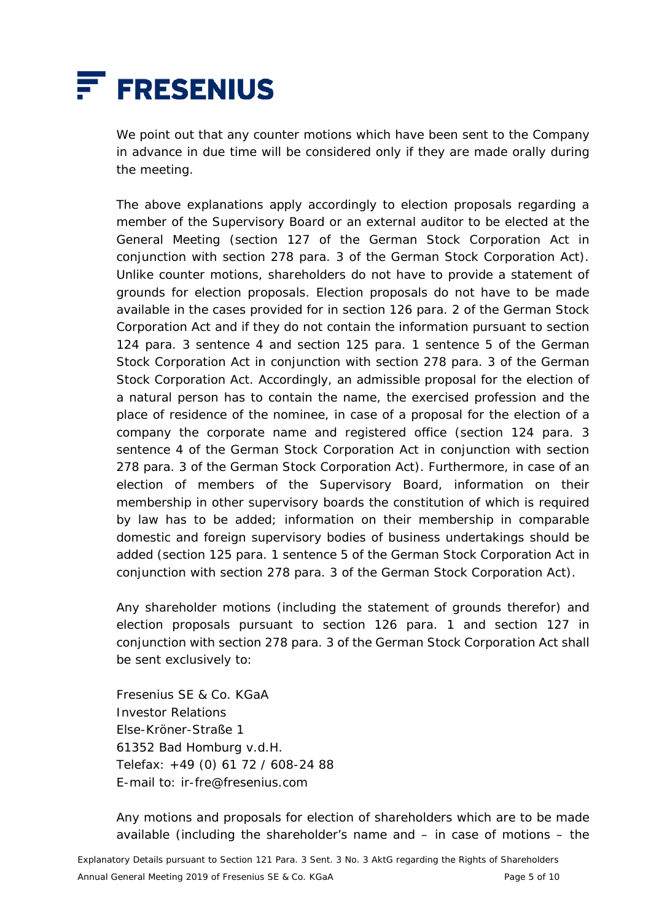

 We point out that any counter motions which have been sent to the Company in advance in due time will be considered only if they are made orally during the meeting.

 The above explanations apply accordingly to election proposals regarding a member of the Supervisory Board or an external auditor to be elected at the General Meeting (section 127 of the German Stock Corporation Act in conjunction with section 278 para. 3 of the German Stock Corporation Act). Unlike counter motions, shareholders do not have to provide a statement of grounds for election proposals. Election proposals do not have to be made available in the cases provided for in section 126 para. 2 of the German Stock Corporation Act and if they do not contain the information pursuant to section 124 para. 3 sentence 4 and section 125 para. 1 sentence 5 of the German Stock Corporation Act in conjunction with section 278 para. 3 of the German Stock Corporation Act. Accordingly, an admissible proposal for the election of a natural person has to contain the name, the exercised profession and the place of residence of the nominee, in case of a proposal for the election of a company the corporate name and registered office (section 124 para. 3 sentence 4 of the German Stock Corporation Act in conjunction with section 278 para. 3 of the German Stock Corporation Act). Furthermore, in case of an election of members of the Supervisory Board, information on their membership in other supervisory boards the constitution of which is required by law has to be added; information on their membership in comparable domestic and foreign supervisory bodies of business undertakings should be added (section 125 para. 1 sentence 5 of the German Stock Corporation Act in conjunction with section 278 para. 3 of the German Stock Corporation Act).

 Any shareholder motions (including the statement of grounds therefor) and election proposals pursuant to section 126 para. 1 and section 127 in conjunction with section 278 para. 3 of the German Stock Corporation Act shall be sent exclusively to:

 Fresenius SE & Co. KGaA Investor Relations Else-Kröner-Straße 1 61352 Bad Homburg v.d.H. Telefax: +49 (0) 61 72 / 608-24 88 E-mail to: ir-fre@fresenius.com

 Any motions and proposals for election of shareholders which are to be made available (including the shareholder's name and – in case of motions – the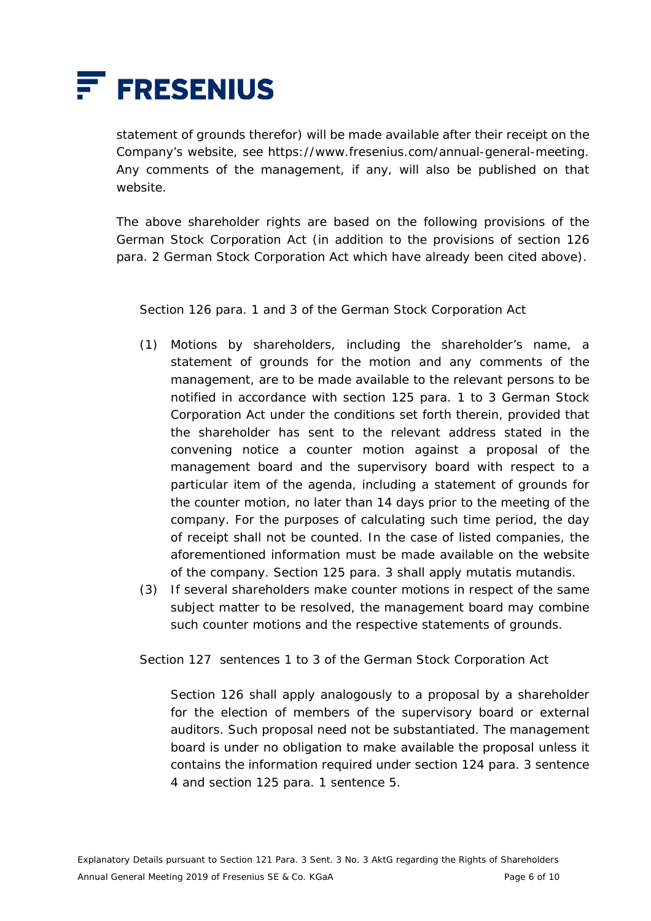

statement of grounds therefor) will be made available after their receipt on the Company's website, see https://www.fresenius.com/annual-general-meeting. Any comments of the management, if any, will also be published on that website.

 The above shareholder rights are based on the following provisions of the German Stock Corporation Act (in addition to the provisions of section 126 para. 2 German Stock Corporation Act which have already been cited above).

Section 126 para. 1 and 3 of the German Stock Corporation Act

- (1) Motions by shareholders, including the shareholder's name, a statement of grounds for the motion and any comments of the management, are to be made available to the relevant persons to be notified in accordance with section 125 para. 1 to 3 German Stock Corporation Act under the conditions set forth therein, provided that the shareholder has sent to the relevant address stated in the convening notice a counter motion against a proposal of the management board and the supervisory board with respect to a particular item of the agenda, including a statement of grounds for the counter motion, no later than 14 days prior to the meeting of the company. For the purposes of calculating such time period, the day of receipt shall not be counted. In the case of listed companies, the aforementioned information must be made available on the website of the company. Section 125 para. 3 shall apply mutatis mutandis.
- (3) If several shareholders make counter motions in respect of the same subject matter to be resolved, the management board may combine such counter motions and the respective statements of grounds.

Section 127 sentences 1 to 3 of the German Stock Corporation Act

 Section 126 shall apply analogously to a proposal by a shareholder for the election of members of the supervisory board or external auditors. Such proposal need not be substantiated. The management board is under no obligation to make available the proposal unless it contains the information required under section 124 para. 3 sentence 4 and section 125 para. 1 sentence 5.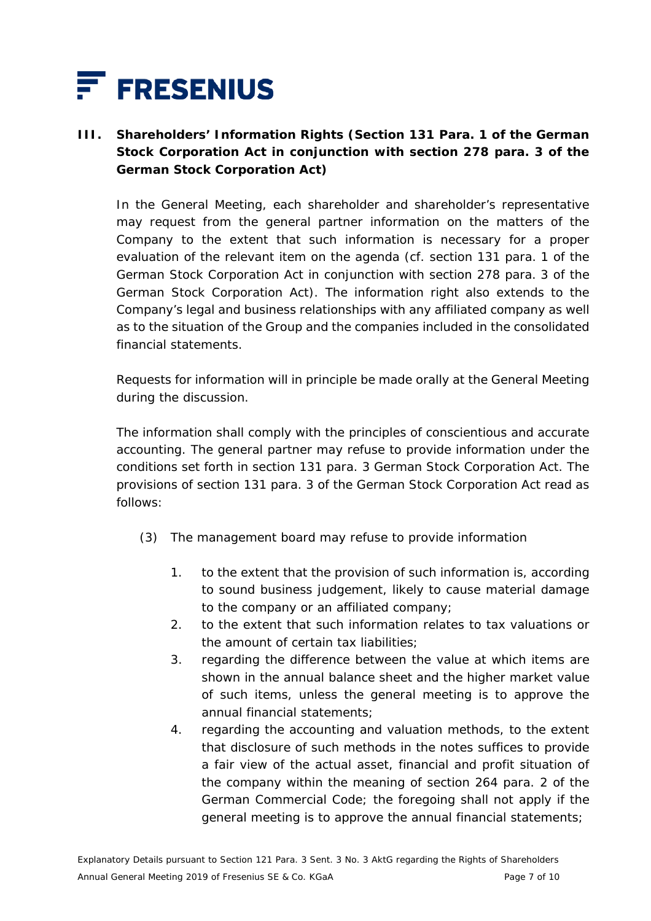

# **III. Shareholders' Information Rights (Section 131 Para. 1 of the German Stock Corporation Act in conjunction with section 278 para. 3 of the German Stock Corporation Act)**

 In the General Meeting, each shareholder and shareholder's representative may request from the general partner information on the matters of the Company to the extent that such information is necessary for a proper evaluation of the relevant item on the agenda (cf. section 131 para. 1 of the German Stock Corporation Act in conjunction with section 278 para. 3 of the German Stock Corporation Act). The information right also extends to the Company's legal and business relationships with any affiliated company as well as to the situation of the Group and the companies included in the consolidated financial statements.

 Requests for information will in principle be made orally at the General Meeting during the discussion.

 The information shall comply with the principles of conscientious and accurate accounting. The general partner may refuse to provide information under the conditions set forth in section 131 para. 3 German Stock Corporation Act. The provisions of section 131 para. 3 of the German Stock Corporation Act read as follows:

- (3) The management board may refuse to provide information
	- 1. to the extent that the provision of such information is, according to sound business judgement, likely to cause material damage to the company or an affiliated company;
	- 2. to the extent that such information relates to tax valuations or the amount of certain tax liabilities;
	- 3. regarding the difference between the value at which items are shown in the annual balance sheet and the higher market value of such items, unless the general meeting is to approve the annual financial statements;
	- 4. regarding the accounting and valuation methods, to the extent that disclosure of such methods in the notes suffices to provide a fair view of the actual asset, financial and profit situation of the company within the meaning of section 264 para. 2 of the German Commercial Code; the foregoing shall not apply if the general meeting is to approve the annual financial statements;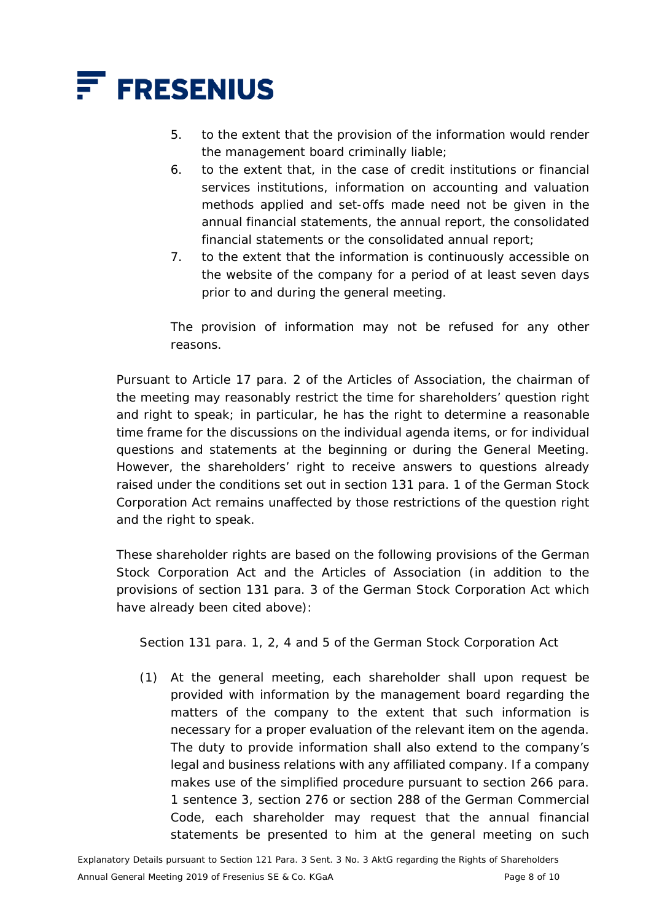

- 5. to the extent that the provision of the information would render the management board criminally liable;
- 6. to the extent that, in the case of credit institutions or financial services institutions, information on accounting and valuation methods applied and set-offs made need not be given in the annual financial statements, the annual report, the consolidated financial statements or the consolidated annual report;
- 7. to the extent that the information is continuously accessible on the website of the company for a period of at least seven days prior to and during the general meeting.

 The provision of information may not be refused for any other reasons.

 Pursuant to Article 17 para. 2 of the Articles of Association, the chairman of the meeting may reasonably restrict the time for shareholders' question right and right to speak; in particular, he has the right to determine a reasonable time frame for the discussions on the individual agenda items, or for individual questions and statements at the beginning or during the General Meeting. However, the shareholders' right to receive answers to questions already raised under the conditions set out in section 131 para. 1 of the German Stock Corporation Act remains unaffected by those restrictions of the question right and the right to speak.

 These shareholder rights are based on the following provisions of the German Stock Corporation Act and the Articles of Association (in addition to the provisions of section 131 para. 3 of the German Stock Corporation Act which have already been cited above):

Section 131 para. 1, 2, 4 and 5 of the German Stock Corporation Act

(1) At the general meeting, each shareholder shall upon request be provided with information by the management board regarding the matters of the company to the extent that such information is necessary for a proper evaluation of the relevant item on the agenda. The duty to provide information shall also extend to the company's legal and business relations with any affiliated company. If a company makes use of the simplified procedure pursuant to section 266 para. 1 sentence 3, section 276 or section 288 of the German Commercial Code, each shareholder may request that the annual financial statements be presented to him at the general meeting on such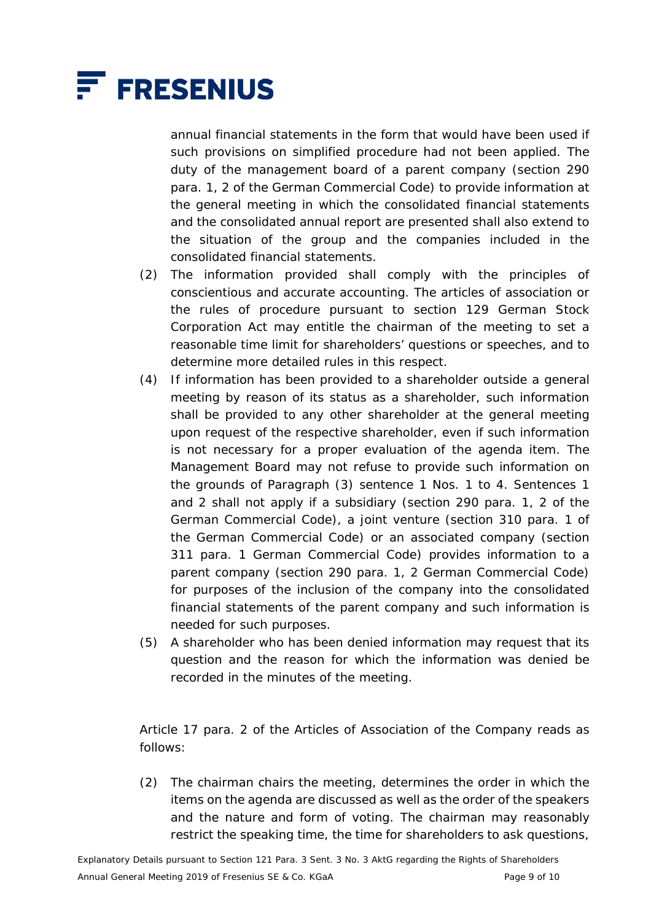

annual financial statements in the form that would have been used if such provisions on simplified procedure had not been applied. The duty of the management board of a parent company (section 290 para. 1, 2 of the German Commercial Code) to provide information at the general meeting in which the consolidated financial statements and the consolidated annual report are presented shall also extend to the situation of the group and the companies included in the consolidated financial statements.

- (2) The information provided shall comply with the principles of conscientious and accurate accounting. The articles of association or the rules of procedure pursuant to section 129 German Stock Corporation Act may entitle the chairman of the meeting to set a reasonable time limit for shareholders' questions or speeches, and to determine more detailed rules in this respect.
- (4) If information has been provided to a shareholder outside a general meeting by reason of its status as a shareholder, such information shall be provided to any other shareholder at the general meeting upon request of the respective shareholder, even if such information is not necessary for a proper evaluation of the agenda item. The Management Board may not refuse to provide such information on the grounds of Paragraph (3) sentence 1 Nos. 1 to 4. Sentences 1 and 2 shall not apply if a subsidiary (section 290 para. 1, 2 of the German Commercial Code), a joint venture (section 310 para. 1 of the German Commercial Code) or an associated company (section 311 para. 1 German Commercial Code) provides information to a parent company (section 290 para. 1, 2 German Commercial Code) for purposes of the inclusion of the company into the consolidated financial statements of the parent company and such information is needed for such purposes.
- (5) A shareholder who has been denied information may request that its question and the reason for which the information was denied be recorded in the minutes of the meeting.

 Article 17 para. 2 of the Articles of Association of the Company reads as follows:

(2) The chairman chairs the meeting, determines the order in which the items on the agenda are discussed as well as the order of the speakers and the nature and form of voting. The chairman may reasonably restrict the speaking time, the time for shareholders to ask questions,